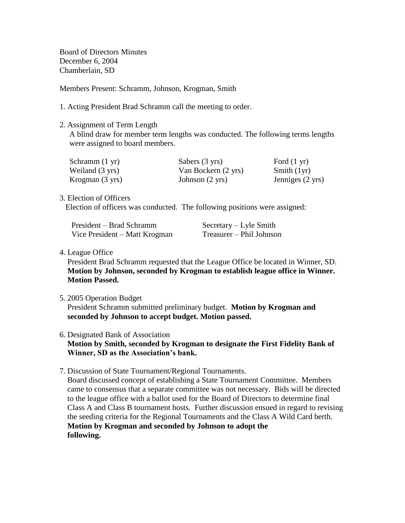Board of Directors Minutes December 6, 2004 Chamberlain, SD

Members Present: Schramm, Johnson, Krogman, Smith

- 1. Acting President Brad Schramm call the meeting to order.
- 2. Assignment of Term Length

 A blind draw for member term lengths was conducted. The following terms lengths were assigned to board members.

| Schramm $(1 \text{ yr})$ | Sabers (3 yrs)            | Ford $(1 \text{ yr})$ |
|--------------------------|---------------------------|-----------------------|
| Weiland (3 yrs)          | Van Bockern (2 yrs)       | Smith $(1yr)$         |
| Krogman (3 yrs)          | Johnson $(2 \text{ yrs})$ | Jenniges (2 yrs)      |

3. Election of Officers

Election of officers was conducted. The following positions were assigned:

| President – Brad Schramm      | $S$ ecretary – Lyle Smith |
|-------------------------------|---------------------------|
| Vice President – Matt Krogman | Treasurer – Phil Johnson  |

# 4. League Office

 President Brad Schramm requested that the League Office be located in Winner, SD. **Motion by Johnson, seconded by Krogman to establish league office in Winner. Motion Passed.**

5. 2005 Operation Budget

 President Schramm submitted preliminary budget. **Motion by Krogman and seconded by Johnson to accept budget. Motion passed.**

6. Designated Bank of Association

 **Motion by Smith, seconded by Krogman to designate the First Fidelity Bank of Winner, SD as the Association's bank.**

7. Discussion of State Tournament/Regional Tournaments. Board discussed concept of establishing a State Tournament Committee. Members came to consensus that a separate committee was not necessary. Bids will be directed to the league office with a ballot used for the Board of Directors to determine final Class A and Class B tournament hosts. Further discussion ensued in regard to revising the seeding criteria for the Regional Tournaments and the Class A Wild Card berth. **Motion by Krogman and seconded by Johnson to adopt the following.**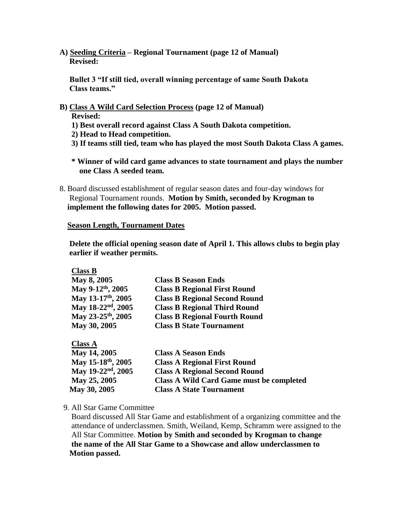**A) Seeding Criteria – Regional Tournament (page 12 of Manual) Revised:** 

 **Bullet 3 "If still tied, overall winning percentage of same South Dakota Class teams."**

**B) Class A Wild Card Selection Process (page 12 of Manual)**

 **Revised:**

 **Class B**

- **1) Best overall record against Class A South Dakota competition.**
- **2) Head to Head competition.**
- **3) If teams still tied, team who has played the most South Dakota Class A games.**
- **\* Winner of wild card game advances to state tournament and plays the number one Class A seeded team.**
- 8. Board discussed establishment of regular season dates and four-day windows for Regional Tournament rounds. **Motion by Smith, seconded by Krogman to implement the following dates for 2005. Motion passed.**

#### **Season Length, Tournament Dates**

 **Delete the official opening season date of April 1. This allows clubs to begin play earlier if weather permits.**

| UIASS D                        |                                                 |
|--------------------------------|-------------------------------------------------|
| May 8, 2005                    | <b>Class B Season Ends</b>                      |
| May 9-12th, 2005               | <b>Class B Regional First Round</b>             |
| May 13-17th, 2005              | <b>Class B Regional Second Round</b>            |
| May 18-22 <sup>nd</sup> , 2005 | <b>Class B Regional Third Round</b>             |
| May 23-25th, 2005              | <b>Class B Regional Fourth Round</b>            |
| May 30, 2005                   | <b>Class B State Tournament</b>                 |
| <b>Class A</b>                 |                                                 |
| May 14, 2005                   | <b>Class A Season Ends</b>                      |
| May 15-18th, 2005              | <b>Class A Regional First Round</b>             |
| May 19-22 <sup>nd</sup> , 2005 | <b>Class A Regional Second Round</b>            |
| May 25, 2005                   | <b>Class A Wild Card Game must be completed</b> |

 **May 30, 2005 Class A State Tournament**

9. All Star Game Committee

 Board discussed All Star Game and establishment of a organizing committee and the attendance of underclassmen. Smith, Weiland, Kemp, Schramm were assigned to the All Star Committee. **Motion by Smith and seconded by Krogman to change the name of the All Star Game to a Showcase and allow underclassmen to Motion passed.**